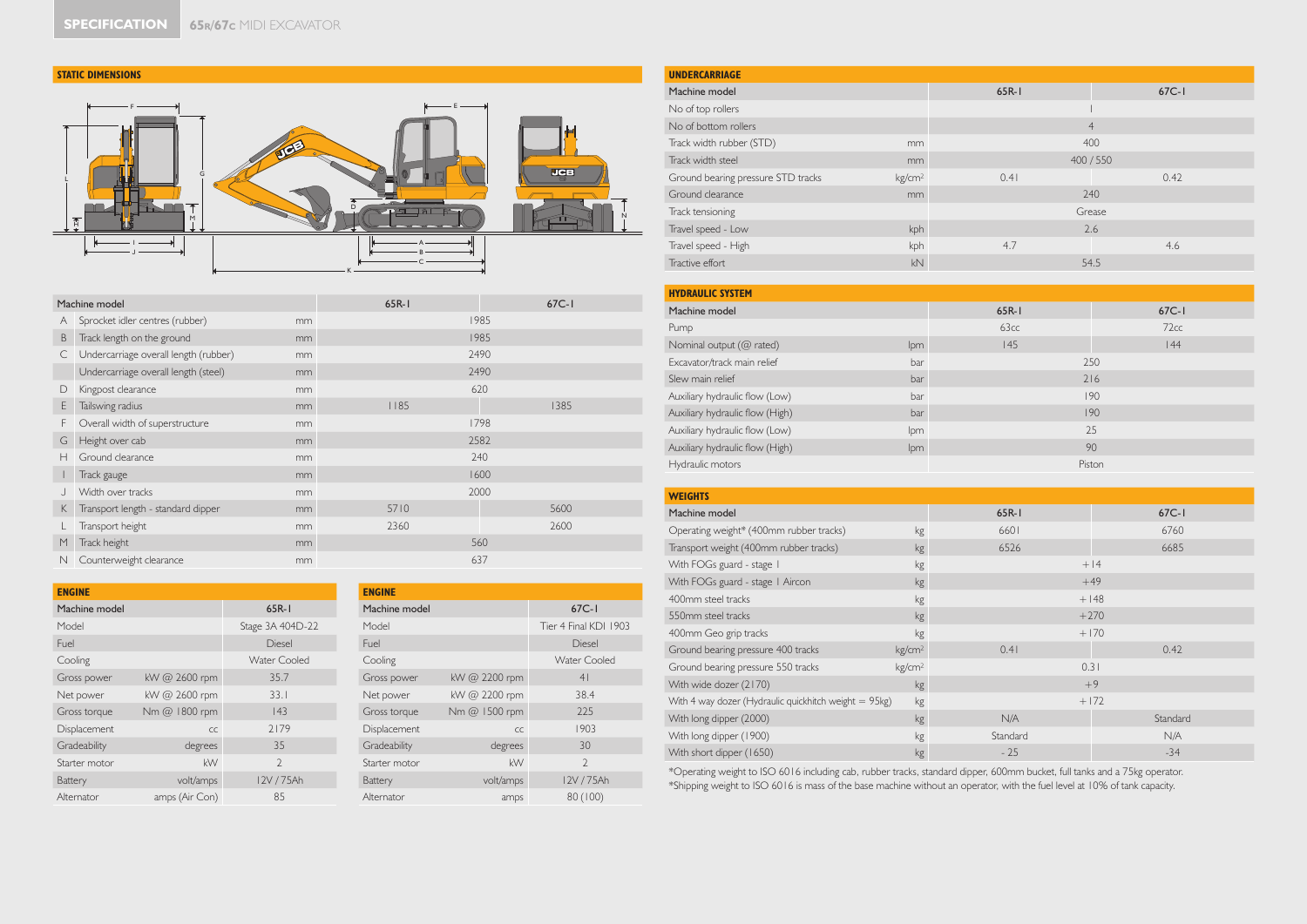## **STATIC DIMENSIONS**



| Machine model |                                       |    | 65R-1 | $67C-1$ |
|---------------|---------------------------------------|----|-------|---------|
| A             | Sprocket idler centres (rubber)       | mm |       | 1985    |
| B             | Track length on the ground            | mm |       | 1985    |
| C             | Undercarriage overall length (rubber) | mm |       | 2490    |
|               | Undercarriage overall length (steel)  | mm |       | 2490    |
| D             | Kingpost clearance                    | mm |       | 620     |
| E             | Tailswing radius                      | mm | 1185  | 1385    |
| F             | Overall width of superstructure       | mm |       | 1798    |
| G             | Height over cab                       | mm |       | 2582    |
| Н             | Ground clearance                      | mm |       | 240     |
|               | Track gauge                           | mm |       | 1600    |
|               | Width over tracks                     | mm |       | 2000    |
| K             | Transport length - standard dipper    | mm | 5710  | 5600    |
|               | Transport height                      | mm | 2360  | 2600    |
| M             | Track height                          | mm |       | 560     |
| N             | Counterweight clearance               | mm |       | 637     |

| <b>ENGINE</b> |                |                  |  |  |  |  |  |  |
|---------------|----------------|------------------|--|--|--|--|--|--|
| Machine model | $65R-1$        |                  |  |  |  |  |  |  |
| Model         |                | Stage 3A 404D-22 |  |  |  |  |  |  |
| Fuel          |                | <b>Diesel</b>    |  |  |  |  |  |  |
| Cooling       |                | Water Cooled     |  |  |  |  |  |  |
| Gross power   | kW @ 2600 rpm  | 35.7             |  |  |  |  |  |  |
| Net power     | kW @ 2600 rpm  | 33.1             |  |  |  |  |  |  |
| Gross torque  | Nm @ 1800 rpm  | 143              |  |  |  |  |  |  |
| Displacement  | CC             | 2179             |  |  |  |  |  |  |
| Gradeability  | degrees        | 35               |  |  |  |  |  |  |
| Starter motor | kW             | $\mathcal{P}$    |  |  |  |  |  |  |
| Battery       | volt/amps      | 12V/75Ah         |  |  |  |  |  |  |
| Alternator    | amps (Air Con) | 85               |  |  |  |  |  |  |

| <b>ENGINE</b> |               |                       |
|---------------|---------------|-----------------------|
| Machine model | $67C-1$       |                       |
| Model         |               | Tier 4 Final KDI 1903 |
| Fuel          |               | Diesel                |
| Cooling       |               | Water Cooled          |
| Gross power   | kW @ 2200 rpm | 4 <sup>1</sup>        |
| Net power     | kW @ 2200 rpm | 38.4                  |
| Gross torque  | Nm @ 1500 rpm | 225                   |
| Displacement  | CC            | 1903                  |
| Gradeability  | degrees       | 30                    |
| Starter motor | kW            | $\mathcal{D}$         |
| Battery       | volt/amps     | 12V / 75Ah            |
| Alternator    | amps          | 80 (100)              |

| <b>UNDERCARRIAGE</b>               |                    |                |         |  |  |  |  |
|------------------------------------|--------------------|----------------|---------|--|--|--|--|
| Machine model                      |                    | $65R-1$        | $67C-1$ |  |  |  |  |
| No of top rollers                  |                    |                |         |  |  |  |  |
| No of bottom rollers               |                    | $\overline{4}$ |         |  |  |  |  |
| Track width rubber (STD)<br>mm     |                    | 400            |         |  |  |  |  |
| Track width steel<br>mm            |                    | 400 / 550      |         |  |  |  |  |
| Ground bearing pressure STD tracks | kg/cm <sup>2</sup> | 0.41           | 0.42    |  |  |  |  |
| Ground clearance<br>mm             |                    | 240            |         |  |  |  |  |
| Track tensioning                   |                    | Grease         |         |  |  |  |  |
| kph<br>Travel speed - Low          |                    | 2.6            |         |  |  |  |  |
| Travel speed - High                | kph                | 4.7            | 4.6     |  |  |  |  |
| kN<br>Tractive effort              |                    | 54.5           |         |  |  |  |  |

| <b>HYDRAULIC SYSTEM</b>                |            |         |         |  |  |  |
|----------------------------------------|------------|---------|---------|--|--|--|
| Machine model                          |            | $65R-1$ | $67C-1$ |  |  |  |
| Pump                                   |            | 63cc    | 72cc    |  |  |  |
| Nominal output (@ rated)               | lpm        | 145     | 44      |  |  |  |
| Excavator/track main relief            | bar        | 250     |         |  |  |  |
| Slew main relief<br>bar                |            | 216     |         |  |  |  |
| Auxiliary hydraulic flow (Low)<br>bar  |            | 190     |         |  |  |  |
| Auxiliary hydraulic flow (High)<br>bar |            | 190     |         |  |  |  |
| Auxiliary hydraulic flow (Low)         | <b>lpm</b> |         | 25      |  |  |  |
| Auxiliary hydraulic flow (High)        | lpm        |         | 90      |  |  |  |
| Hydraulic motors                       |            | Piston  |         |  |  |  |

| <b>WEIGHTS</b>                                        |                    |           |          |  |  |  |
|-------------------------------------------------------|--------------------|-----------|----------|--|--|--|
| Machine model                                         |                    | $65R - 1$ | $67C-1$  |  |  |  |
| Operating weight* (400mm rubber tracks)               | kg                 | 6601      | 6760     |  |  |  |
| Transport weight (400mm rubber tracks)                | kg                 | 6526      | 6685     |  |  |  |
| With FOGs guard - stage 1                             | kg                 |           | $+14$    |  |  |  |
| With FOGs guard - stage   Aircon                      | kg                 |           | $+49$    |  |  |  |
| 400mm steel tracks                                    | kg                 |           | $+148$   |  |  |  |
| 550mm steel tracks                                    | kg                 |           | $+270$   |  |  |  |
| 400mm Geo grip tracks                                 | kg                 |           | $+170$   |  |  |  |
| Ground bearing pressure 400 tracks                    | kg/cm <sup>2</sup> | 0.41      | 0.42     |  |  |  |
| Ground bearing pressure 550 tracks                    | kg/cm <sup>2</sup> | 0.31      |          |  |  |  |
| With wide dozer (2170)                                | kg                 |           | $+9$     |  |  |  |
| With 4 way dozer (Hydraulic quickhitch weight = 95kg) | kg                 |           | $+172$   |  |  |  |
| With long dipper (2000)                               | kg                 | N/A       | Standard |  |  |  |
| With long dipper (1900)                               | kg                 | Standard  | N/A      |  |  |  |
| With short dipper (1650)                              | kg                 | $-25$     | $-34$    |  |  |  |

\*Operating weight to ISO 6016 including cab, rubber tracks, standard dipper, 600mm bucket, full tanks and a 75kg operator. \*Shipping weight to ISO 6016 is mass of the base machine without an operator, with the fuel level at 10% of tank capacity.